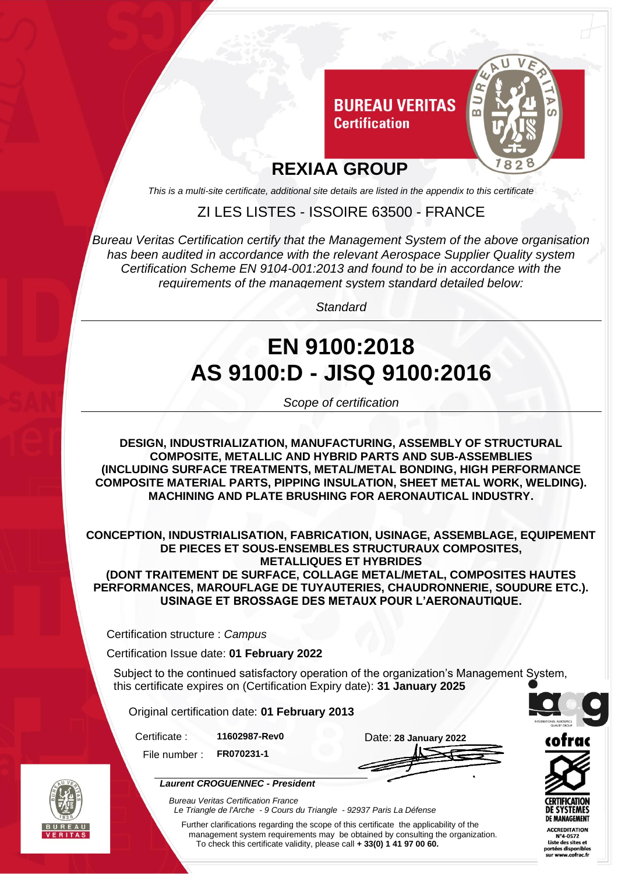

*This is a multi-site certificate, additional site details are listed in the appendix to this certificate*

ZI LES LISTES - ISSOIRE 63500 - FRANCE

*Bureau Veritas Certification certify that the Management System of the above organisation has been audited in accordance with the relevant Aerospace Supplier Quality system Certification Scheme EN 9104-001:2013 and found to be in accordance with the requirements of the management system standard detailed below:*

*Standard*

# **EN 9100:2018 AS 9100:D - JISQ 9100:2016**

*Scope of certification*

**DESIGN, INDUSTRIALIZATION, MANUFACTURING, ASSEMBLY OF STRUCTURAL COMPOSITE, METALLIC AND HYBRID PARTS AND SUB-ASSEMBLIES (INCLUDING SURFACE TREATMENTS, METAL/METAL BONDING, HIGH PERFORMANCE COMPOSITE MATERIAL PARTS, PIPPING INSULATION, SHEET METAL WORK, WELDING). MACHINING AND PLATE BRUSHING FOR AERONAUTICAL INDUSTRY.**

**CONCEPTION, INDUSTRIALISATION, FABRICATION, USINAGE, ASSEMBLAGE, EQUIPEMENT DE PIECES ET SOUS-ENSEMBLES STRUCTURAUX COMPOSITES, METALLIQUES ET HYBRIDES**

**(DONT TRAITEMENT DE SURFACE, COLLAGE METAL/METAL, COMPOSITES HAUTES PERFORMANCES, MAROUFLAGE DE TUYAUTERIES, CHAUDRONNERIE, SOUDURE ETC.). USINAGE ET BROSSAGE DES METAUX POUR L'AERONAUTIQUE.**

Certification structure : *Campus*

Certification Issue date: **01 February 2022**

Subject to the continued satisfactory operation of the organization's Management System, this certificate expires on (Certification Expiry date): **31 January 2025**

Original certification date: **01 February 2013**

File number : **FR070231-1**

Certificate : **11602987-Rev0** Date: **28 January 2022**



*Laurent CROGUENNEC - President*

*Bureau Veritas Certification France Le Triangle de l'Arche - 9 Cours du Triangle - 92937 Paris La Défense* 

Further clarifications regarding the scope of this certificate the applicability of the management system requirements may be obtained by consulting the organization. To check this certificate validity, please call **+ 33(0) 1 41 97 00 60.**





ACCREDITATION<br>N°4-0572<br>Liste des sites et rtées disponib www.cofrac.fr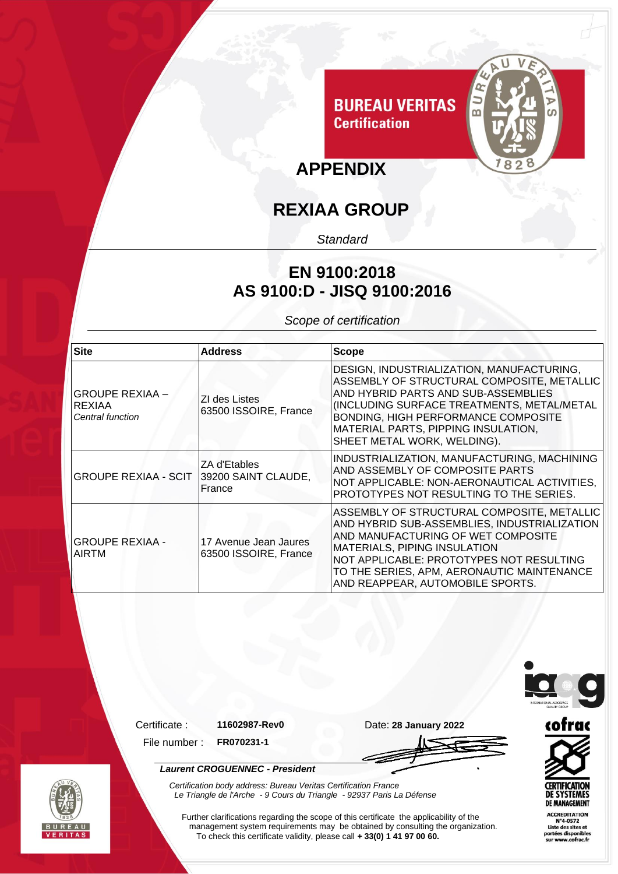

## **REXIAA GROUP**

*Standard*

### **EN 9100:2018 AS 9100:D - JISQ 9100:2016**

*Scope of certification*

| <b>Site</b>                                          | <b>Address</b>                                 | <b>Scope</b>                                                                                                                                                                                                                                                                                          |
|------------------------------------------------------|------------------------------------------------|-------------------------------------------------------------------------------------------------------------------------------------------------------------------------------------------------------------------------------------------------------------------------------------------------------|
| <b>GROUPE REXIAA -</b><br>REXIAA<br>Central function | ZI des Listes<br>63500 ISSOIRE, France         | DESIGN, INDUSTRIALIZATION, MANUFACTURING,<br>ASSEMBLY OF STRUCTURAL COMPOSITE, METALLIC<br>AND HYBRID PARTS AND SUB-ASSEMBLIES<br>(INCLUDING SURFACE TREATMENTS, METAL/METAL<br><b>BONDING, HIGH PERFORMANCE COMPOSITE</b><br>MATERIAL PARTS, PIPPING INSULATION,<br>SHEET METAL WORK, WELDING).      |
| GROUPE REXIAA - SCIT   39200 SAINT CLAUDE,           | ZA d'Etables<br>France                         | INDUSTRIALIZATION, MANUFACTURING, MACHINING<br>AND ASSEMBLY OF COMPOSITE PARTS<br>NOT APPLICABLE: NON-AERONAUTICAL ACTIVITIES,<br>PROTOTYPES NOT RESULTING TO THE SERIES.                                                                                                                             |
| <b>GROUPE REXIAA -</b><br><b>AIRTM</b>               | 17 Avenue Jean Jaures<br>63500 ISSOIRE, France | ASSEMBLY OF STRUCTURAL COMPOSITE, METALLIC<br>AND HYBRID SUB-ASSEMBLIES, INDUSTRIALIZATION<br>AND MANUFACTURING OF WET COMPOSITE<br><b>MATERIALS, PIPING INSULATION</b><br>NOT APPLICABLE: PROTOTYPES NOT RESULTING<br>TO THE SERIES, APM, AERONAUTIC MAINTENANCE<br>AND REAPPEAR, AUTOMOBILE SPORTS. |

*Laurent CROGUENNEC - President*



File number : **FR070231-1**





*Certification body address: Bureau Veritas Certification France Le Triangle de l'Arche - 9 Cours du Triangle - 92937 Paris La Défense* 

Further clarifications regarding the scope of this certificate the applicability of the management system requirements may be obtained by consulting the organization. To check this certificate validity, please call **+ 33(0) 1 41 97 00 60.**



**CERTIFICATION DE SYSTEMES DE MANAGEMENT ACCREDITATION**  $N^24-0572$ <br>Liste des sites et<br>portées disponible